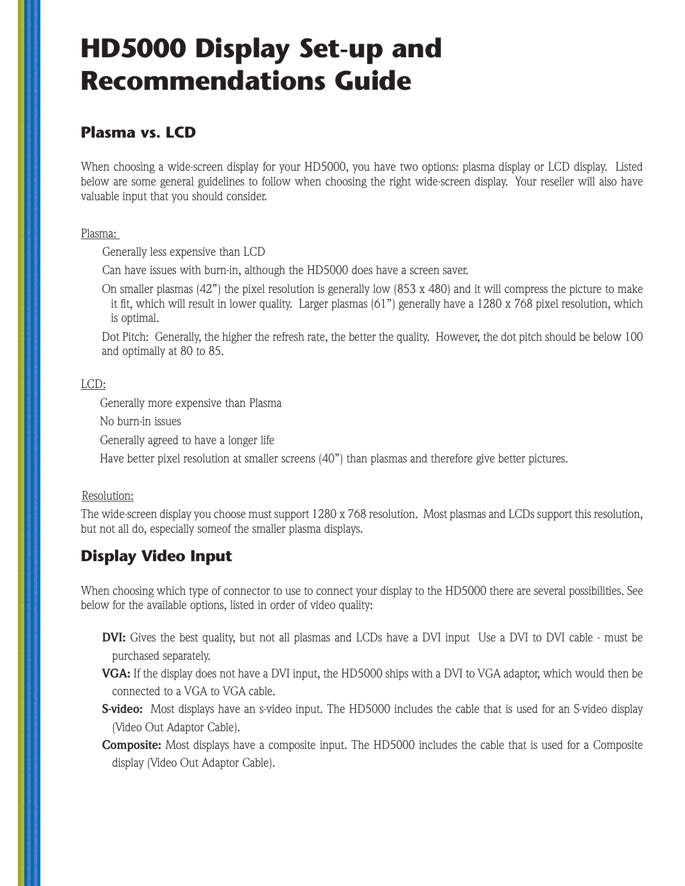## **HD5000 Display Set-up and Recommendations Guide**

#### **Plasma vs. LCD**

When choosing a wide-screen display for your HD5000, you have two options: plasma display or LCD display. Listed below are some general guidelines to follow when choosing the right wide-screen display. Your reseller will also have valuable input that you should consider.

Plasma:

Generally less expensive than LCD

Can have issues with burn-in, although the HD5000 does have a screen saver.

On smaller plasmas  $(42)$ " the pixel resolution is generally low  $(853 \times 480)$  and it will compress the picture to make it fit, which will result in lower quality. Larger plasmas (61") generally have a 1280 x 768 pixel resolution, which is optimal.

Dot Pitch: Generally, the higher the refresh rate, the better the quality. However, the dot pitch should be below 100 and optimally at 80 to 85.

#### LCD:

Generally more expensive than Plasma

No burn-in issues

Generally agreed to have a longer life

Have better pixel resolution at smaller screens (40") than plasmas and therefore give better pictures.

#### Resolution:

The wide-screen display you choose must support  $1280 \times 768$  resolution. Most plasmas and LCDs support this resolution, but not all do, especially someof the smaller plasma displays.

### **Display Video Input**

When choosing which type of connector to use to connect your display to the HD5000 there are several possibilities. See below for the available options, listed in order of video quality:

- **DVI:** Gives the best quality, but not all plasmas and LCDs have a DVI input Use a DVI to DVI cable must be purchased separately.
- **VGA:** If the display does not have a DVI input, the HD5000 ships with a DVI to VGA adaptor, which would then be connected to a VGA to VGA cable.
- **S-video:** Most displays have an s-video input. The HD5000 includes the cable that is used for an S-video display (Video Out Adaptor Cable).
- **Composite:** Most displays have a composite input. The HD5000 includes the cable that is used for a Composite display (Video Out Adaptor Cable).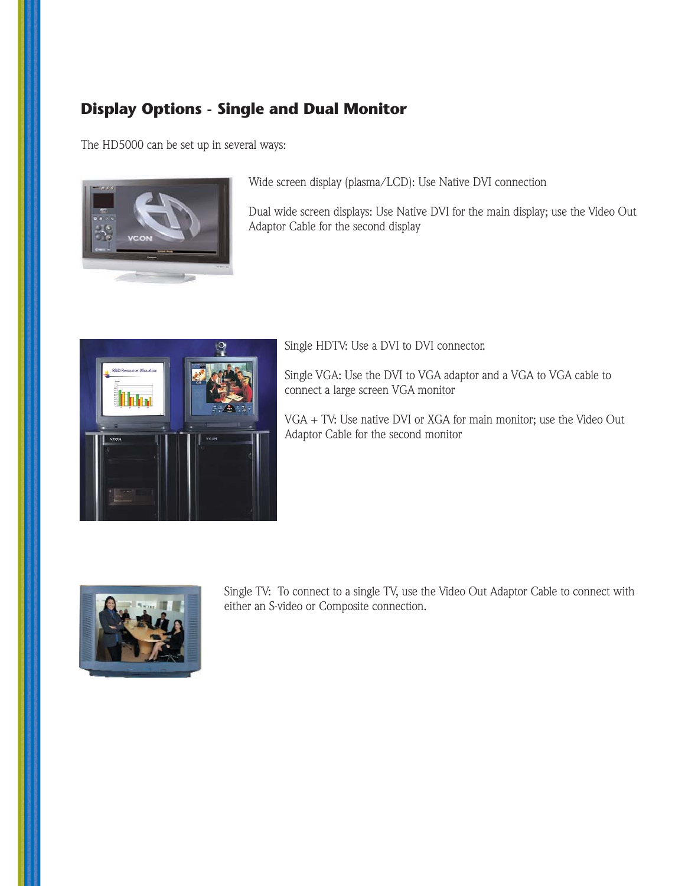### **Display Options - Single and Dual Monitor**

The HD5000 can be set up in several ways:



Wide screen display (plasma/LCD): Use Native DVI connection

Dual wide screen displays: Use Native DVI for the main display; use the Video Out Adaptor Cable for the second display



Single HDTV: Use a DVI to DVI connector.

Single VGA: Use the DVI to VGA adaptor and a VGA to VGA cable to connect a large screen VGA monitor

VGA + TV: Use native DVI or XGA for main monitor; use the Video Out Adaptor Cable for the second monitor



Single TV: To connect to a single TV, use the Video Out Adaptor Cable to connect with either an S-video or Composite connection.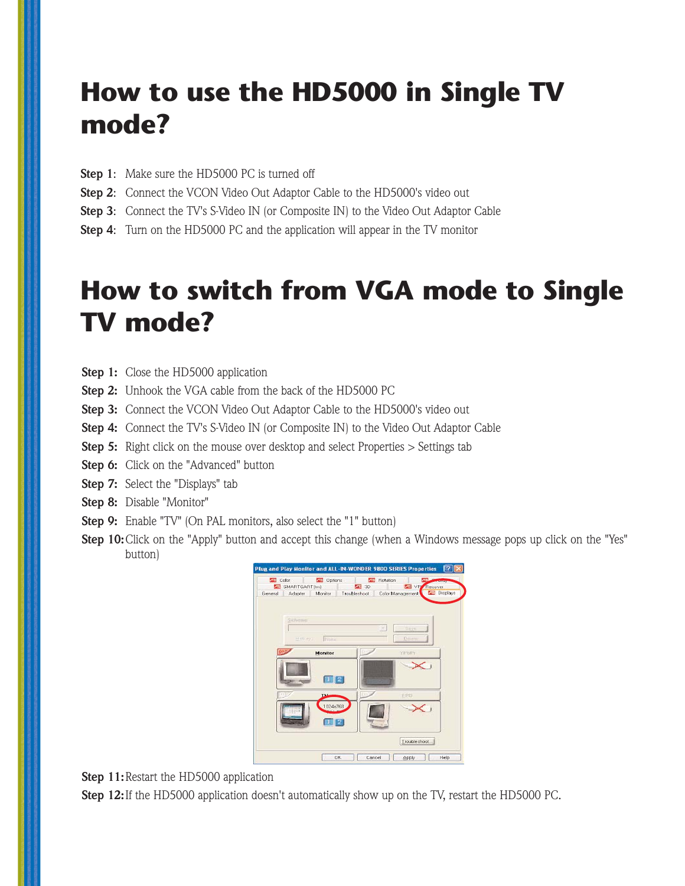# **How to use the HD5000 in Single TV mode?**

- **Step 1:** Make sure the HD5000 PC is turned off
- **Step 2:** Connect the VCON Video Out Adaptor Cable to the HD5000's video out
- **Step 3**: Connect the TV's S-Video IN (or Composite IN) to the Video Out Adaptor Cable
- **Step 4**: Turn on the HD5000 PC and the application will appear in the TV monitor

## **How to switch from VGA mode to Single TV mode?**

- **Step 1:** Close the HD5000 application
- **Step 2:** Unhook the VGA cable from the back of the HD5000 PC
- **Step 3:** Connect the VCON Video Out Adaptor Cable to the HD5000's video out
- **Step 4:** Connect the TV's S-Video IN (or Composite IN) to the Video Out Adaptor Cable
- **Step 5:** Right click on the mouse over desktop and select Properties > Settings tab
- **Step 6:** Click on the "Advanced" button
- **Step 7:** Select the "Displays" tab
- **Step 8:** Disable "Monitor"
- **Step 9:** Enable "TV" (On PAL monitors, also select the "1" button)
- **Step 10:**Click on the "Apply" button and accept this change (when a Windows message pops up click on the "Yes" button)



**Step 11:** Restart the HD5000 application

**Step 12:** If the HD5000 application doesn't automatically show up on the TV, restart the HD5000 PC.